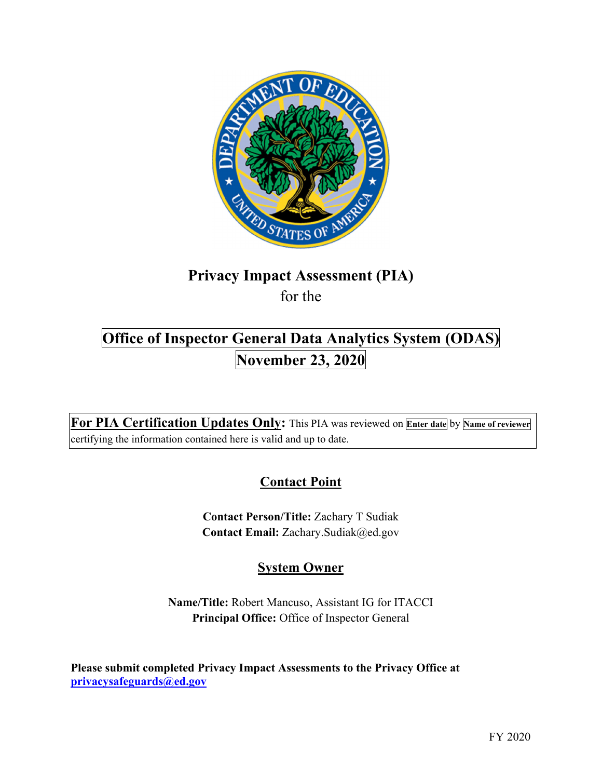

# **Privacy Impact Assessment (PIA)**

for the

# **Office of Inspector General Data Analytics System (ODAS) November 23, 2020**

**For PIA Certification Updates Only:** This PIA was reviewed on **Enter date** by **Name of reviewer**  certifying the information contained here is valid and up to date.

# **Contact Point**

**Contact Person/Title:** Zachary T Sudiak **Contact Email:** [Zachary.Sudiak@ed.gov](mailto:Zachary.Sudiak@ed.gov)

# **System Owner**

**Name/Title:** Robert Mancuso, Assistant IG for ITACCI **Principal Office:** Office of Inspector General

 **[privacysafeguards@ed.gov](mailto:privacysafeguards@ed.gov) Please submit completed Privacy Impact Assessments to the Privacy Office at**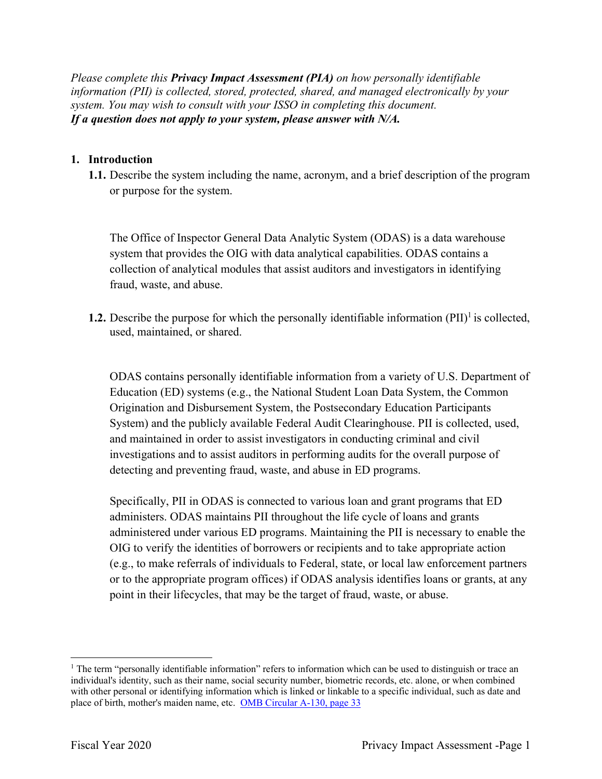*Please complete this Privacy Impact Assessment (PIA) on how personally identifiable information (PII) is collected, stored, protected, shared, and managed electronically by your system. You may wish to consult with your ISSO in completing this document. If a question does not apply to your system, please answer with N/A.* 

# 1. Introduction

**1.1.** Describe the system including the name, acronym, and a brief description of the program or purpose for the system.

The Office of Inspector General Data Analytic System (ODAS) is a data warehouse system that provides the OIG with data analytical capabilities. ODAS contains a collection of analytical modules that assist auditors and investigators in identifying fraud, waste, and abuse.

**1.2.** Describe the purpose for which the personally identifiable information  $(PII)^{1}$  is collected, used, maintained, or shared.

ODAS contains personally identifiable information from a variety of U.S. Department of Education (ED) systems (e.g., the National Student Loan Data System, the Common Origination and Disbursement System, the Postsecondary Education Participants System) and the publicly available Federal Audit Clearinghouse. PII is collected, used, and maintained in order to assist investigators in conducting criminal and civil investigations and to assist auditors in performing audits for the overall purpose of detecting and preventing fraud, waste, and abuse in ED programs.

Specifically, PII in ODAS is connected to various loan and grant programs that ED administers. ODAS maintains PII throughout the life cycle of loans and grants administered under various ED programs. Maintaining the PII is necessary to enable the OIG to verify the identities of borrowers or recipients and to take appropriate action (e.g., to make referrals of individuals to Federal, state, or local law enforcement partners or to the appropriate program offices) if ODAS analysis identifies loans or grants, at any point in their lifecycles, that may be the target of fraud, waste, or abuse.

<sup>&</sup>lt;sup>1</sup> The term "personally identifiable information" refers to information which can be used to distinguish or trace an individual's identity, such as their name, social security number, biometric records, etc. alone, or when combined with other personal or identifying information which is linked or linkable to a specific individual, such as date and place of birth, mother's maiden name, etc. OMB Circular A-130, page 33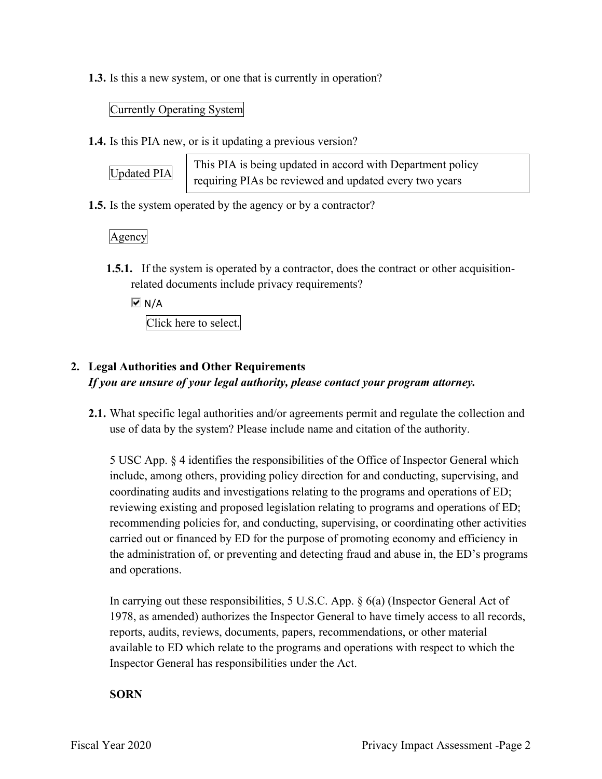**1.3.** Is this a new system, or one that is currently in operation?

#### Currently Operating System

**1.4.** Is this PIA new, or is it updating a previous version?

 $\boxed{\text{Update PIA}}$  This PIA is being updated in accord with Department policy requiring PIAs be reviewed and updated every two years

**1.5.** Is the system operated by the agency or by a contractor?

Agency

**1.5.1.** If the system is operated by a contractor, does the contract or other acquisitionrelated documents include privacy requirements?

 $\overline{M}$  N/A

Click here to select.

# **2. Legal Authorities and Other Requirements**

*If you are unsure of your legal authority, please contact your program attorney.* 

**2.1.** What specific legal authorities and/or agreements permit and regulate the collection and use of data by the system? Please include name and citation of the authority.

5 USC App. § 4 identifies the responsibilities of the Office of Inspector General which include, among others, providing policy direction for and conducting, supervising, and coordinating audits and investigations relating to the programs and operations of ED; reviewing existing and proposed legislation relating to programs and operations of ED; recommending policies for, and conducting, supervising, or coordinating other activities carried out or financed by ED for the purpose of promoting economy and efficiency in the administration of, or preventing and detecting fraud and abuse in, the ED's programs and operations.

In carrying out these responsibilities, 5 U.S.C. App. § 6(a) (Inspector General Act of 1978, as amended) authorizes the Inspector General to have timely access to all records, reports, audits, reviews, documents, papers, recommendations, or other material available to ED which relate to the programs and operations with respect to which the Inspector General has responsibilities under the Act.

#### **SORN**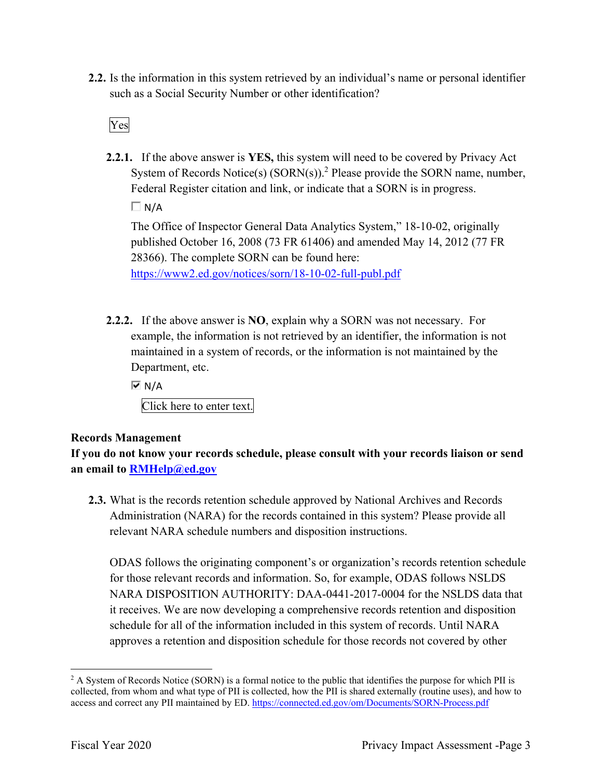**2.2.** Is the information in this system retrieved by an individual's name or personal identifier such as a Social Security Number or other identification?

Yes

**2.2.1.** If the above answer is **YES,** this system will need to be covered by Privacy Act System of Records Notice(s)  $(SORN(s))$ .<sup>2</sup> Please provide the SORN name, number, Federal Register citation and link, or indicate that a SORN is in progress.

 $\Box N/A$ 

 <https://www2.ed.gov/notices/sorn/18-10-02-full-publ.pdf>The Office of Inspector General Data Analytics System," 18-10-02, originally published October 16, 2008 (73 FR 61406) and amended May 14, 2012 (77 FR 28366). The complete SORN can be found here:

**2.2.2.** If the above answer is **NO**, explain why a SORN was not necessary. For example, the information is not retrieved by an identifier, the information is not maintained in a system of records, or the information is not maintained by the Department, etc.

 $\overline{M}$  N/A

Click here to enter text.

# **Records Management**

**If you do not know your records schedule, please consult with your records liaison or send an email to [RMHelp@ed.gov](mailto:RMHelp@ed.gov)** 

**2.3.** What is the records retention schedule approved by National Archives and Records Administration (NARA) for the records contained in this system? Please provide all relevant NARA schedule numbers and disposition instructions.

ODAS follows the originating component's or organization's records retention schedule for those relevant records and information. So, for example, ODAS follows NSLDS NARA DISPOSITION AUTHORITY: DAA-0441-2017-0004 for the NSLDS data that it receives. We are now developing a comprehensive records retention and disposition schedule for all of the information included in this system of records. Until NARA approves a retention and disposition schedule for those records not covered by other

access and correct any PII maintained by ED. <https://connected.ed.gov/om/Documents/SORN-Process.pdf><br>Fiscal Year 2020 Privacy Impact Assessment -Page 3 <sup>2</sup> A System of Records Notice (SORN) is a formal notice to the public that identifies the purpose for which PII is collected, from whom and what type of PII is collected, how the PII is shared externally (routine uses), and how to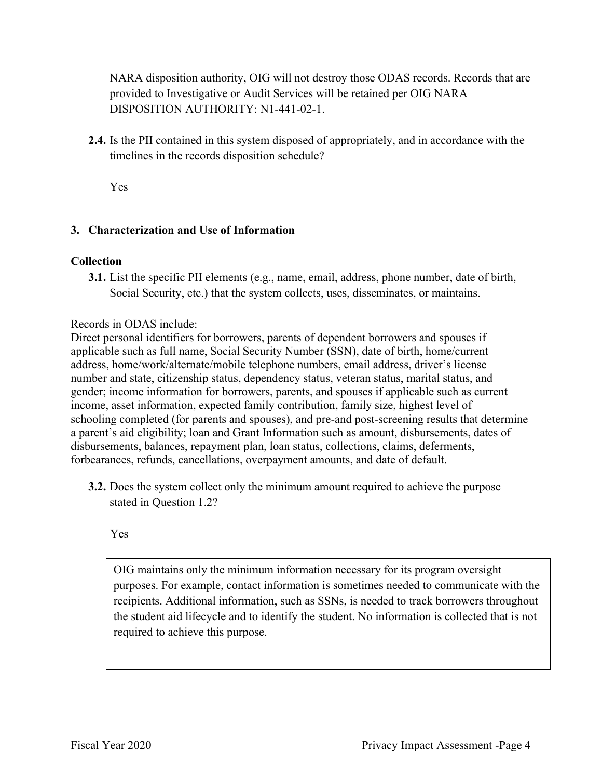NARA disposition authority, OIG will not destroy those ODAS records. Records that are provided to Investigative or Audit Services will be retained per OIG NARA DISPOSITION AUTHORITY: N1-441-02-1.

**2.4.** Is the PII contained in this system disposed of appropriately, and in accordance with the timelines in the records disposition schedule?

Yes

# **3. Characterization and Use of Information**

#### **Collection**

**3.1.** List the specific PII elements (e.g., name, email, address, phone number, date of birth, Social Security, etc.) that the system collects, uses, disseminates, or maintains.

Records in ODAS include:

Direct personal identifiers for borrowers, parents of dependent borrowers and spouses if applicable such as full name, Social Security Number (SSN), date of birth, home/current address, home/work/alternate/mobile telephone numbers, email address, driver's license number and state, citizenship status, dependency status, veteran status, marital status, and gender; income information for borrowers, parents, and spouses if applicable such as current income, asset information, expected family contribution, family size, highest level of schooling completed (for parents and spouses), and pre-and post-screening results that determine a parent's aid eligibility; loan and Grant Information such as amount, disbursements, dates of disbursements, balances, repayment plan, loan status, collections, claims, deferments, forbearances, refunds, cancellations, overpayment amounts, and date of default.

**3.2.** Does the system collect only the minimum amount required to achieve the purpose stated in Question 1.2?



OIG maintains only the minimum information necessary for its program oversight purposes. For example, contact information is sometimes needed to communicate with the recipients. Additional information, such as SSNs, is needed to track borrowers throughout the student aid lifecycle and to identify the student. No information is collected that is not required to achieve this purpose.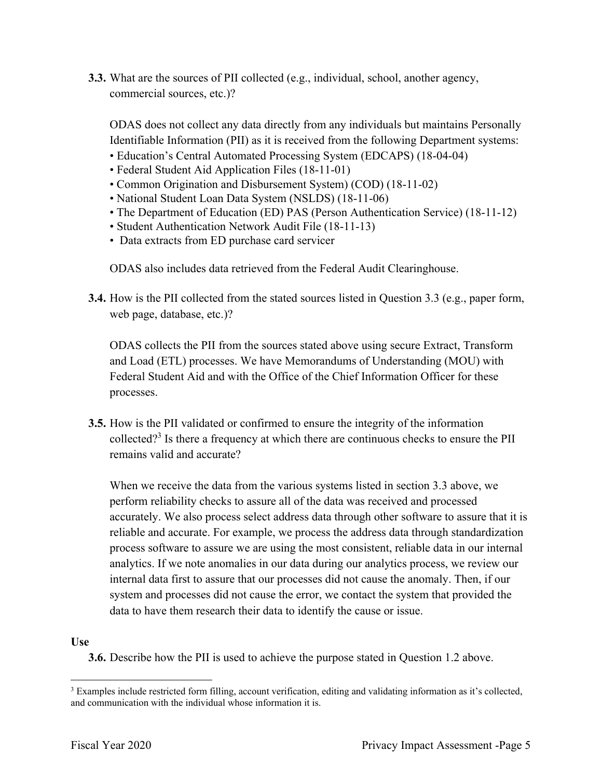**3.3.** What are the sources of PII collected (e.g., individual, school, another agency, commercial sources, etc.)?

 Identifiable Information (PII) as it is received from the following Department systems: • Education's Central Automated Processing System (EDCAPS) (18-04-04) ODAS does not collect any data directly from any individuals but maintains Personally

- 
- Federal Student Aid Application Files (18-11-01)
- Common Origination and Disbursement System) (COD) (18-11-02)
- National Student Loan Data System (NSLDS) (18-11-06)
- The Department of Education (ED) PAS (Person Authentication Service) (18-11-12)
- Student Authentication Network Audit File (18-11-13)
- Data extracts from ED purchase card servicer

ODAS also includes data retrieved from the Federal Audit Clearinghouse.

**3.4.** How is the PII collected from the stated sources listed in Question 3.3 (e.g., paper form, web page, database, etc.)?

ODAS collects the PII from the sources stated above using secure Extract, Transform and Load (ETL) processes. We have Memorandums of Understanding (MOU) with Federal Student Aid and with the Office of the Chief Information Officer for these processes.

**3.5.** How is the PII validated or confirmed to ensure the integrity of the information collected?<sup>3</sup> Is there a frequency at which there are continuous checks to ensure the PII remains valid and accurate?

When we receive the data from the various systems listed in section 3.3 above, we perform reliability checks to assure all of the data was received and processed accurately. We also process select address data through other software to assure that it is reliable and accurate. For example, we process the address data through standardization process software to assure we are using the most consistent, reliable data in our internal analytics. If we note anomalies in our data during our analytics process, we review our internal data first to assure that our processes did not cause the anomaly. Then, if our system and processes did not cause the error, we contact the system that provided the data to have them research their data to identify the cause or issue.

# **Use**

**3.6.** Describe how the PII is used to achieve the purpose stated in Question 1.2 above.

<sup>&</sup>lt;sup>3</sup> Examples include restricted form filling, account verification, editing and validating information as it's collected, and communication with the individual whose information it is.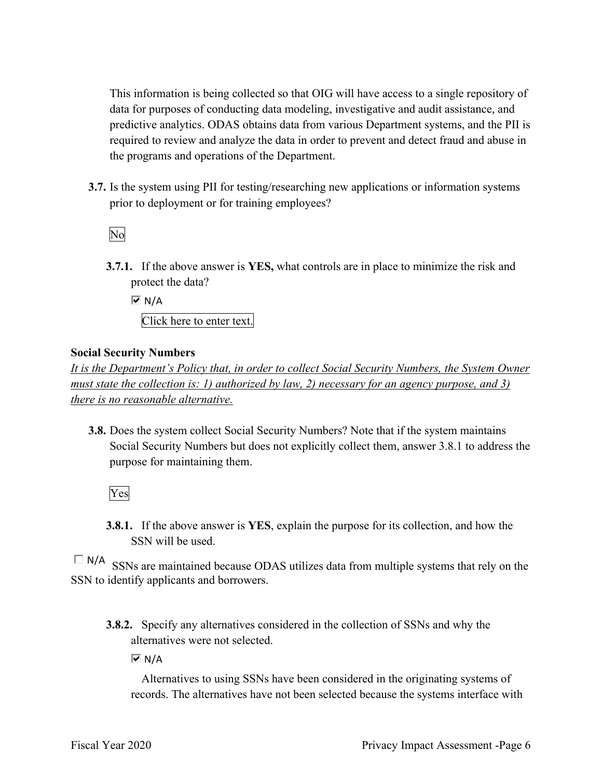This information is being collected so that OIG will have access to a single repository of data for purposes of conducting data modeling, investigative and audit assistance, and predictive analytics. ODAS obtains data from various Department systems, and the PII is required to review and analyze the data in order to prevent and detect fraud and abuse in the programs and operations of the Department.

**3.7.** Is the system using PII for testing/researching new applications or information systems prior to deployment or for training employees?

No

**3.7.1.** If the above answer is **YES,** what controls are in place to minimize the risk and protect the data?

 $\overline{M}$  N/A Click here to enter text.

#### **Social Security Numbers**

*It is the Department's Policy that, in order to collect Social Security Numbers, the System Owner must state the collection is: 1) authorized by law, 2) necessary for an agency purpose, and 3) there is no reasonable alternative.* 

**3.8.** Does the system collect Social Security Numbers? Note that if the system maintains Social Security Numbers but does not explicitly collect them, answer 3.8.1 to address the purpose for maintaining them.

Yes

**3.8.1.** If the above answer is **YES**, explain the purpose for its collection, and how the SSN will be used.

 $\square$  N/A SSNs are maintained because ODAS utilizes data from multiple systems that rely on the SSN to identify applicants and borrowers.

**3.8.2.** Specify any alternatives considered in the collection of SSNs and why the alternatives were not selected.

 $\overline{M}$  N/A

Alternatives to using SSNs have been considered in the originating systems of records. The alternatives have not been selected because the systems interface with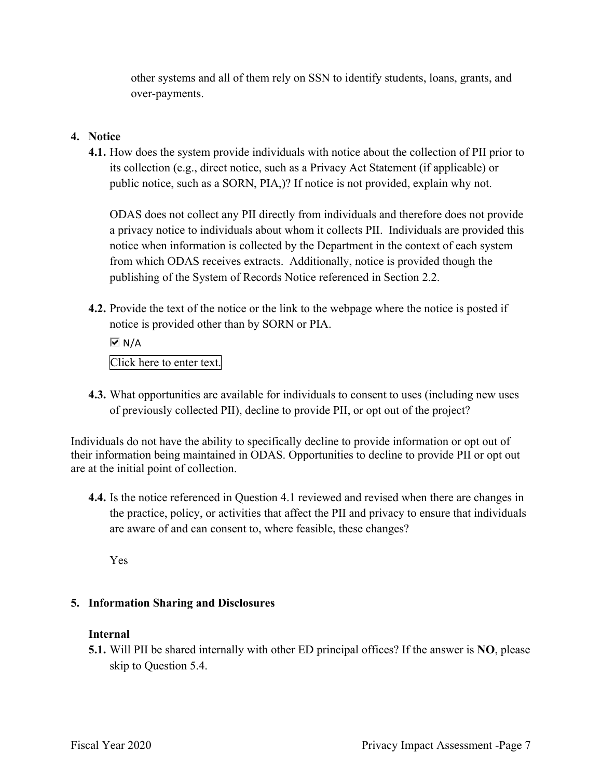other systems and all of them rely on SSN to identify students, loans, grants, and over-payments.

# **4. Notice**

**4.1.** How does the system provide individuals with notice about the collection of PII prior to its collection (e.g., direct notice, such as a Privacy Act Statement (if applicable) or public notice, such as a SORN, PIA,)? If notice is not provided, explain why not.

ODAS does not collect any PII directly from individuals and therefore does not provide a privacy notice to individuals about whom it collects PII. Individuals are provided this notice when information is collected by the Department in the context of each system from which ODAS receives extracts. Additionally, notice is provided though the publishing of the System of Records Notice referenced in Section 2.2.

**4.2.** Provide the text of the notice or the link to the webpage where the notice is posted if notice is provided other than by SORN or PIA.

 $\overline{M}$  N/A Click here to enter text.

**4.3.** What opportunities are available for individuals to consent to uses (including new uses of previously collected PII), decline to provide PII, or opt out of the project?

Individuals do not have the ability to specifically decline to provide information or opt out of their information being maintained in ODAS. Opportunities to decline to provide PII or opt out are at the initial point of collection.

**4.4.** Is the notice referenced in Question 4.1 reviewed and revised when there are changes in the practice, policy, or activities that affect the PII and privacy to ensure that individuals are aware of and can consent to, where feasible, these changes?

Yes

# **5. Information Sharing and Disclosures**

# **Internal**

**5.1.** Will PII be shared internally with other ED principal offices? If the answer is **NO**, please skip to Question 5.4.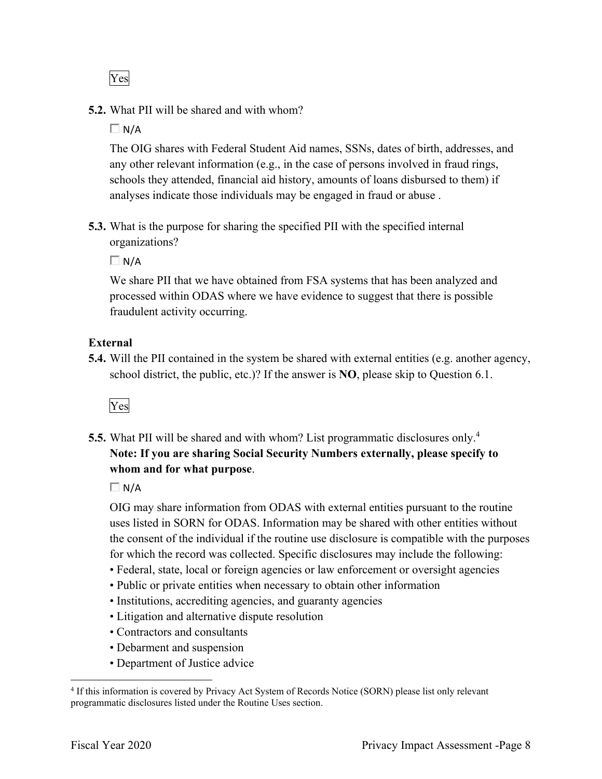Yes

# **5.2.** What PII will be shared and with whom?

 $\Box$  N/A

The OIG shares with Federal Student Aid names, SSNs, dates of birth, addresses, and any other relevant information (e.g., in the case of persons involved in fraud rings, schools they attended, financial aid history, amounts of loans disbursed to them) if analyses indicate those individuals may be engaged in fraud or abuse .

**5.3.** What is the purpose for sharing the specified PII with the specified internal organizations?

 $\Box$  N/A

We share PII that we have obtained from FSA systems that has been analyzed and processed within ODAS where we have evidence to suggest that there is possible fraudulent activity occurring.

# **External**

**5.4.** Will the PII contained in the system be shared with external entities (e.g. another agency, school district, the public, etc.)? If the answer is **NO**, please skip to Question 6.1.



**5.5.** What PII will be shared and with whom? List programmatic disclosures only.<sup>4</sup> **Note: If you are sharing Social Security Numbers externally, please specify to whom and for what purpose**.

 $\Box$  N/A

OIG may share information from ODAS with external entities pursuant to the routine uses listed in SORN for ODAS. Information may be shared with other entities without the consent of the individual if the routine use disclosure is compatible with the purposes for which the record was collected. Specific disclosures may include the following:

- Federal, state, local or foreign agencies or law enforcement or oversight agencies
- Public or private entities when necessary to obtain other information
- Institutions, accrediting agencies, and guaranty agencies
- Litigation and alternative dispute resolution
- Contractors and consultants
- Debarment and suspension
- Department of Justice advice

<sup>4</sup> If this information is covered by Privacy Act System of Records Notice (SORN) please list only relevant programmatic disclosures listed under the Routine Uses section.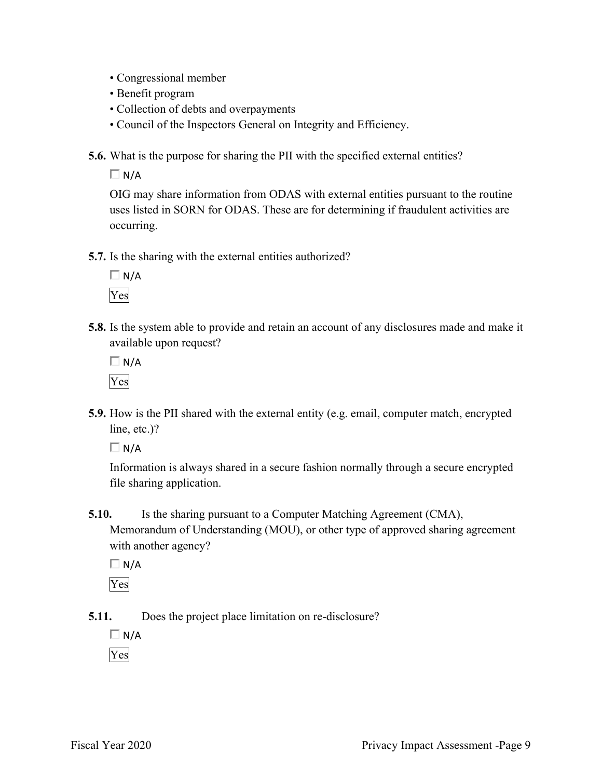- Congressional member
- Benefit program
- Collection of debts and overpayments
- Council of the Inspectors General on Integrity and Efficiency.

**5.6.** What is the purpose for sharing the PII with the specified external entities?

 $\Box$  N/A

OIG may share information from ODAS with external entities pursuant to the routine uses listed in SORN for ODAS. These are for determining if fraudulent activities are occurring.

**5.7.** Is the sharing with the external entities authorized?

 $\Box$  N/A Yes

**5.8.** Is the system able to provide and retain an account of any disclosures made and make it available upon request?

 $\Box$  N/A Yes

**5.9.** How is the PII shared with the external entity (e.g. email, computer match, encrypted line, etc.)?

 $\Box$  N/A

Information is always shared in a secure fashion normally through a secure encrypted file sharing application.

**5.10.** Is the sharing pursuant to a Computer Matching Agreement (CMA), Memorandum of Understanding (MOU), or other type of approved sharing agreement with another agency?

 $\Box$  N/A

Yes

**5.11.** Does the project place limitation on re-disclosure?

 $\Box N/A$ 

Yes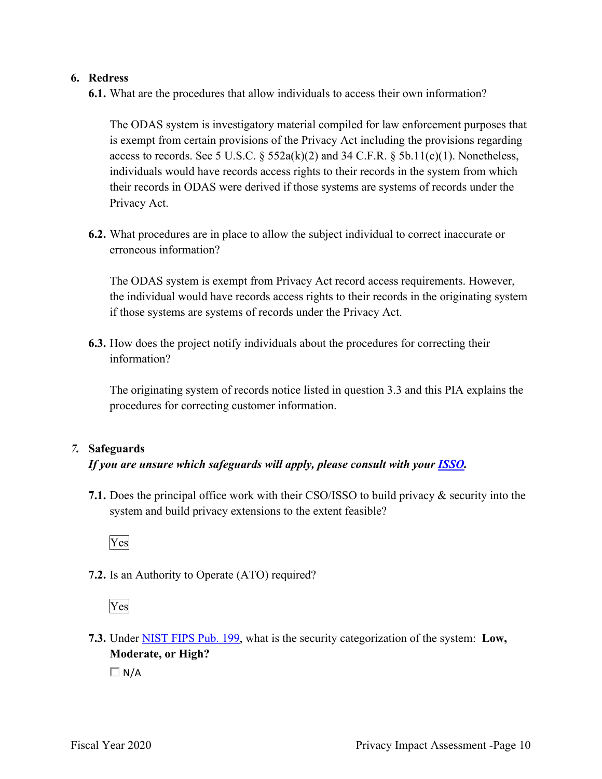#### **6. Redress**

**6.1.** What are the procedures that allow individuals to access their own information?

The ODAS system is investigatory material compiled for law enforcement purposes that is exempt from certain provisions of the Privacy Act including the provisions regarding access to records. See 5 U.S.C.  $\S$  552a(k)(2) and 34 C.F.R.  $\S$  5b.11(c)(1). Nonetheless, individuals would have records access rights to their records in the system from which their records in ODAS were derived if those systems are systems of records under the Privacy Act.

**6.2.** What procedures are in place to allow the subject individual to correct inaccurate or erroneous information?

The ODAS system is exempt from Privacy Act record access requirements. However, the individual would have records access rights to their records in the originating system if those systems are systems of records under the Privacy Act.

**6.3.** How does the project notify individuals about the procedures for correcting their information?

The originating system of records notice listed in question 3.3 and this PIA explains the procedures for correcting customer information.

# *7.* **Safeguards**

#### *If you are unsure which safeguards will apply, please consult with your ISSO.*

**7.1.** Does the principal office work with their CSO/ISSO to build privacy & security into the system and build privacy extensions to the extent feasible?



**7.2.** Is an Authority to Operate (ATO) required?

Yes

**7.3.** Under NIST FIPS Pub. 199, what is the security categorization of the system: **Low, Moderate, or High?** 

 $\Box$  N/A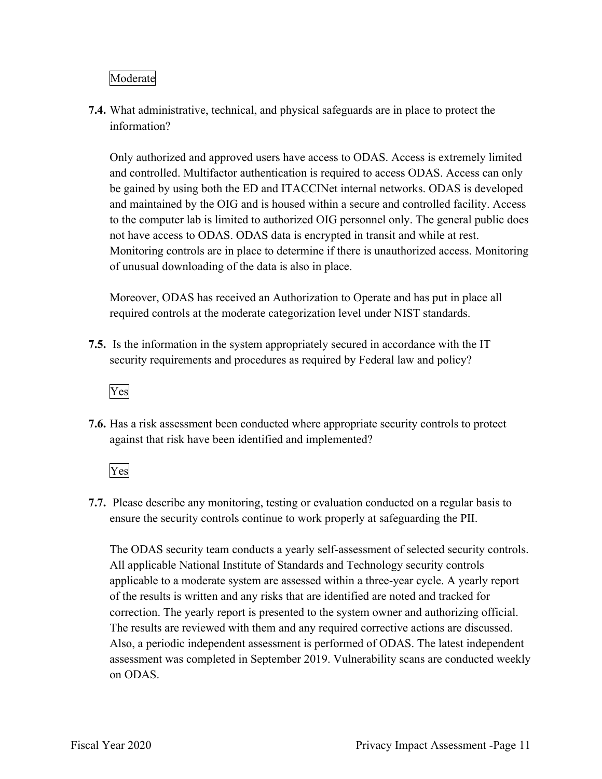# Moderate

**7.4.** What administrative, technical, and physical safeguards are in place to protect the information?

Only authorized and approved users have access to ODAS. Access is extremely limited and controlled. Multifactor authentication is required to access ODAS. Access can only be gained by using both the ED and ITACCINet internal networks. ODAS is developed and maintained by the OIG and is housed within a secure and controlled facility. Access to the computer lab is limited to authorized OIG personnel only. The general public does not have access to ODAS. ODAS data is encrypted in transit and while at rest. Monitoring controls are in place to determine if there is unauthorized access. Monitoring of unusual downloading of the data is also in place.

Moreover, ODAS has received an Authorization to Operate and has put in place all required controls at the moderate categorization level under NIST standards.

**7.5.** Is the information in the system appropriately secured in accordance with the IT security requirements and procedures as required by Federal law and policy?



**7.6.** Has a risk assessment been conducted where appropriate security controls to protect against that risk have been identified and implemented?

Yes

**7.7.** Please describe any monitoring, testing or evaluation conducted on a regular basis to ensure the security controls continue to work properly at safeguarding the PII.

The ODAS security team conducts a yearly self-assessment of selected security controls. All applicable National Institute of Standards and Technology security controls applicable to a moderate system are assessed within a three-year cycle. A yearly report of the results is written and any risks that are identified are noted and tracked for correction. The yearly report is presented to the system owner and authorizing official. The results are reviewed with them and any required corrective actions are discussed. Also, a periodic independent assessment is performed of ODAS. The latest independent assessment was completed in September 2019. Vulnerability scans are conducted weekly on ODAS.